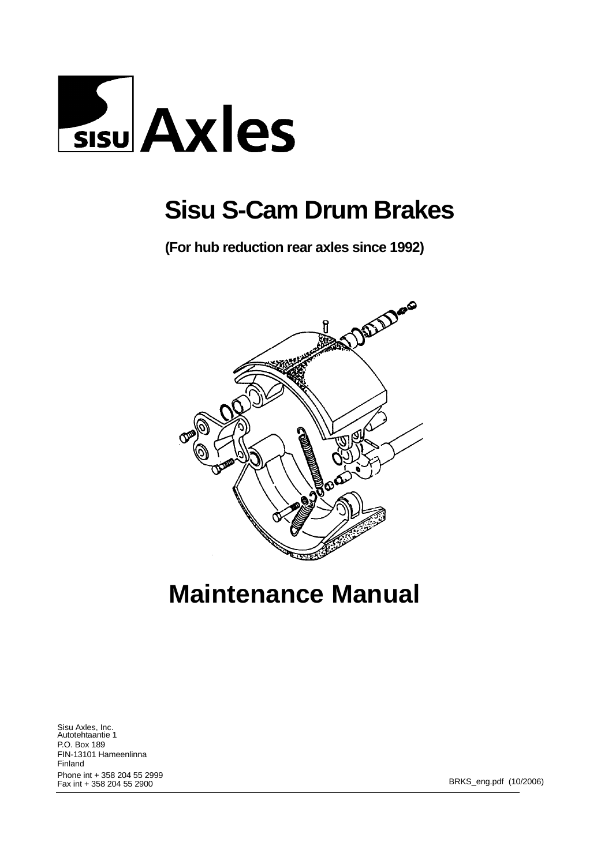

# **Sisu S-Cam Drum Brakes**

**(For hub reduction rear axles since 1992)**



## **Maintenance Manual**

Sisu Axles, Inc. Autotehtaantie 1 P.O. Box 189 FIN-13101 Hameenlinna Phone int + 358 204 55 2999 Fax int + 358 204 55 2900 Finland

BRKS\_eng.pdf (10/2006)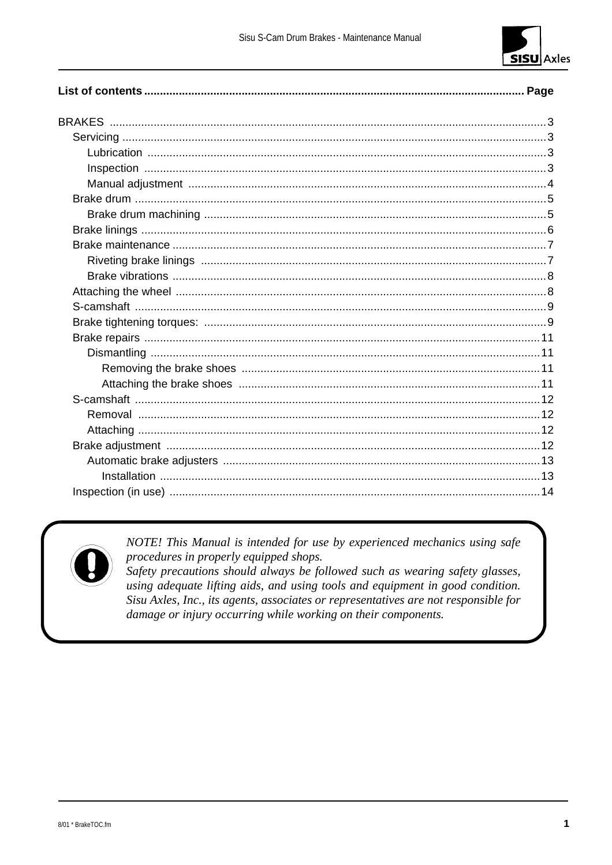



NOTE! This Manual is intended for use by experienced mechanics using safe procedures in properly equipped shops. Safety precautions should always be followed such as wearing safety glasses, using adequate lifting aids, and using tools and equipment in good condition. Sisu Axles, Inc., its agents, associates or representatives are not responsible for damage or injury occurring while working on their components.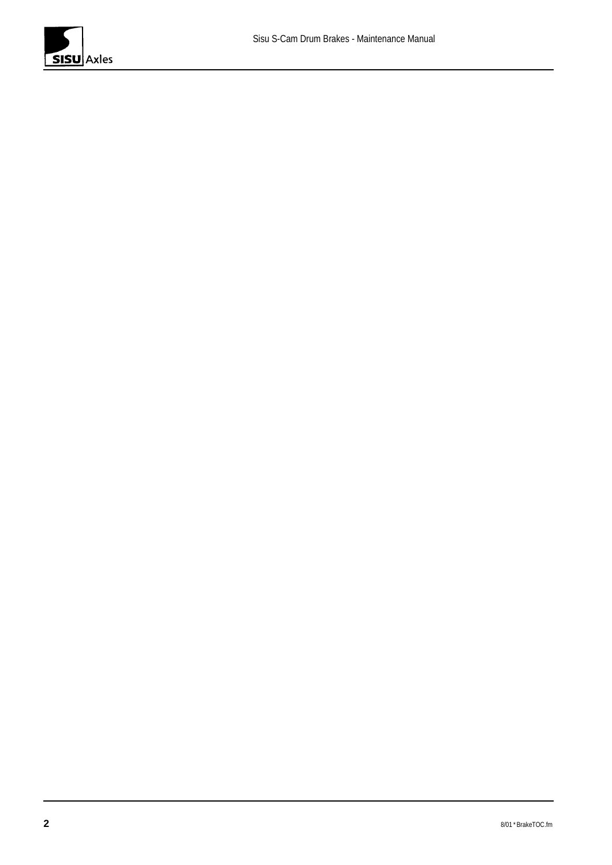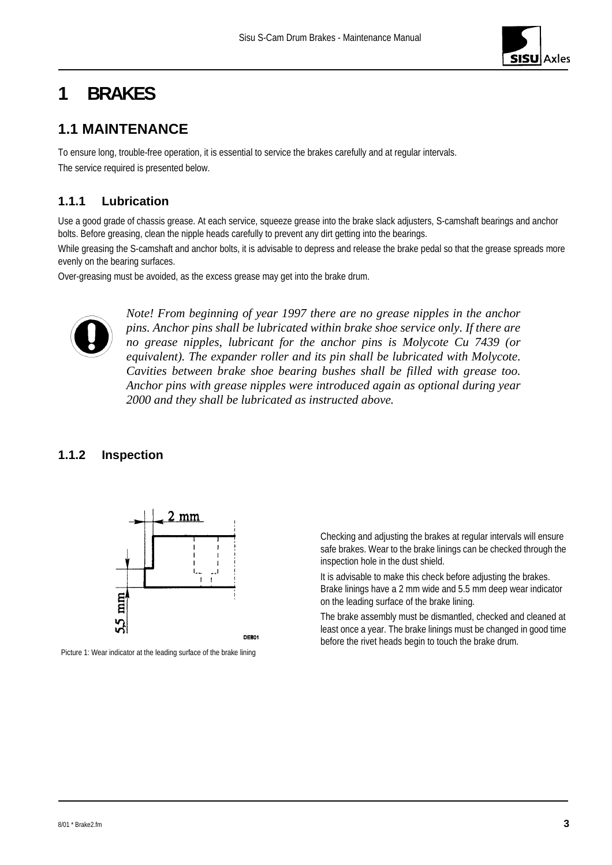## **1 BRAKES**

### **1.1 MAINTENANCE**

To ensure long, trouble-free operation, it is essential to service the brakes carefully and at regular intervals. The service required is presented below.

#### **1.1.1 Lubrication**

Use a good grade of chassis grease. At each service, squeeze grease into the brake slack adjusters, S-camshaft bearings and anchor bolts. Before greasing, clean the nipple heads carefully to prevent any dirt getting into the bearings.

While greasing the S-camshaft and anchor bolts, it is advisable to depress and release the brake pedal so that the grease spreads more evenly on the bearing surfaces.

Over-greasing must be avoided, as the excess grease may get into the brake drum.



*Note! From beginning of year 1997 there are no grease nipples in the anchor pins. Anchor pins shall be lubricated within brake shoe service only. If there are no grease nipples, lubricant for the anchor pins is Molycote Cu 7439 (or equivalent). The expander roller and its pin shall be lubricated with Molycote. Cavities between brake shoe bearing bushes shall be filled with grease too. Anchor pins with grease nipples were introduced again as optional during year 2000 and they shall be lubricated as instructed above.*

#### **1.1.2 Inspection**



Picture 1: Wear indicator at the leading surface of the brake lining

Checking and adjusting the brakes at regular intervals will ensure safe brakes. Wear to the brake linings can be checked through the inspection hole in the dust shield.

It is advisable to make this check before adjusting the brakes. Brake linings have a 2 mm wide and 5.5 mm deep wear indicator on the leading surface of the brake lining.

The brake assembly must be dismantled, checked and cleaned at least once a year. The brake linings must be changed in good time before the rivet heads begin to touch the brake drum.

Axles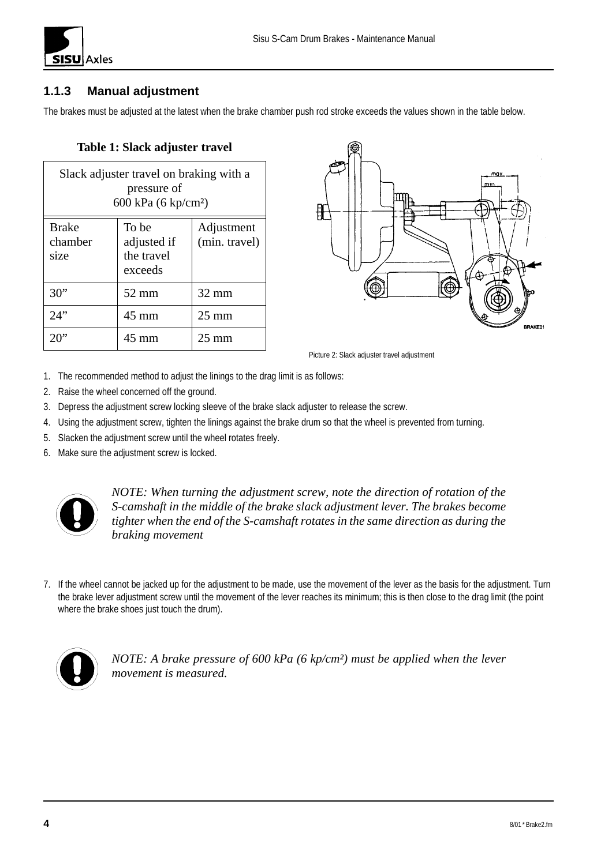

#### **1.1.3 Manual adjustment**

The brakes must be adjusted at the latest when the brake chamber push rod stroke exceeds the values shown in the table below.

| Slack adjuster travel on braking with a<br>pressure of<br>600 kPa $(6 \text{ kp/cm}^2)$ |                                               |                             |  |
|-----------------------------------------------------------------------------------------|-----------------------------------------------|-----------------------------|--|
| <b>Brake</b><br>chamber<br>size                                                         | To be<br>adjusted if<br>the travel<br>exceeds | Adjustment<br>(min. travel) |  |
| 30"                                                                                     | $52 \text{ mm}$                               | $32 \text{ mm}$             |  |
| 24"                                                                                     | 45 mm                                         | $25 \text{ mm}$             |  |
|                                                                                         | 45 mm                                         | 25 mm                       |  |





Picture 2: Slack adjuster travel adjustment

- 1. The recommended method to adjust the linings to the drag limit is as follows:
- 2. Raise the wheel concerned off the ground.
- 3. Depress the adjustment screw locking sleeve of the brake slack adjuster to release the screw.
- 4. Using the adjustment screw, tighten the linings against the brake drum so that the wheel is prevented from turning.
- 5. Slacken the adjustment screw until the wheel rotates freely.
- 6. Make sure the adjustment screw is locked.



*NOTE: When turning the adjustment screw, note the direction of rotation of the S-camshaft in the middle of the brake slack adjustment lever. The brakes become tighter when the end of the S-camshaft rotates in the same direction as during the braking movement*

7. If the wheel cannot be jacked up for the adjustment to be made, use the movement of the lever as the basis for the adjustment. Turn the brake lever adjustment screw until the movement of the lever reaches its minimum; this is then close to the drag limit (the point where the brake shoes just touch the drum).



*NOTE: A brake pressure of 600 kPa (6 kp/cm²) must be applied when the lever movement is measured.*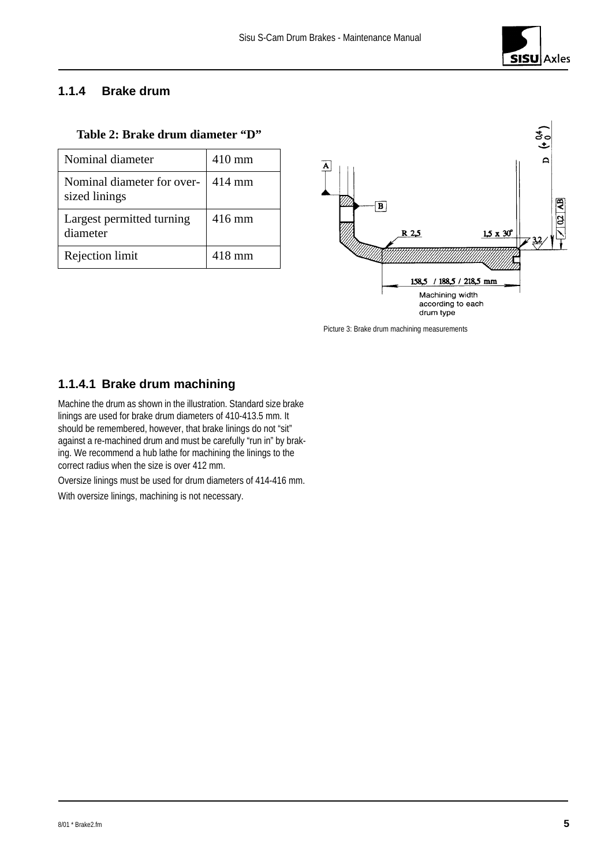

#### **1.1.4 Brake drum**

#### **Table 2: Brake drum diameter "D"**

| Nominal diameter                            | 410 mm |
|---------------------------------------------|--------|
| Nominal diameter for over-<br>sized linings | 414 mm |
| Largest permitted turning<br>diameter       | 416 mm |
| Rejection limit                             | 418 mm |



Picture 3: Brake drum machining measurements

#### **1.1.4.1 Brake drum machining**

Machine the drum as shown in the illustration. Standard size brake linings are used for brake drum diameters of 410-413.5 mm. It should be remembered, however, that brake linings do not "sit" against a re-machined drum and must be carefully "run in" by braking. We recommend a hub lathe for machining the linings to the correct radius when the size is over 412 mm.

Oversize linings must be used for drum diameters of 414-416 mm.

With oversize linings, machining is not necessary.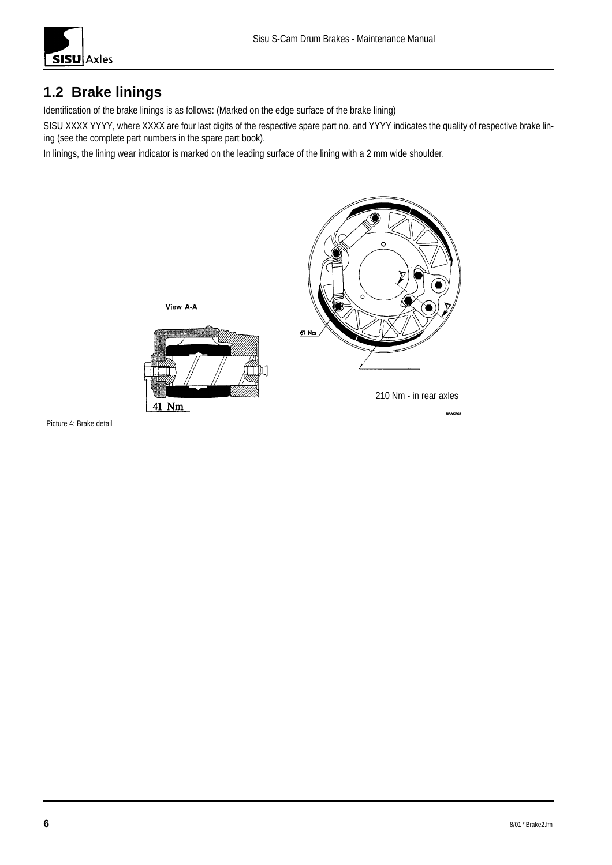



## **1.2 Brake linings**

Identification of the brake linings is as follows: (Marked on the edge surface of the brake lining)

SISU XXXX YYYY, where XXXX are four last digits of the respective spare part no. and YYYY indicates the quality of respective brake lining (see the complete part numbers in the spare part book).

In linings, the lining wear indicator is marked on the leading surface of the lining with a 2 mm wide shoulder.



Picture 4: Brake detail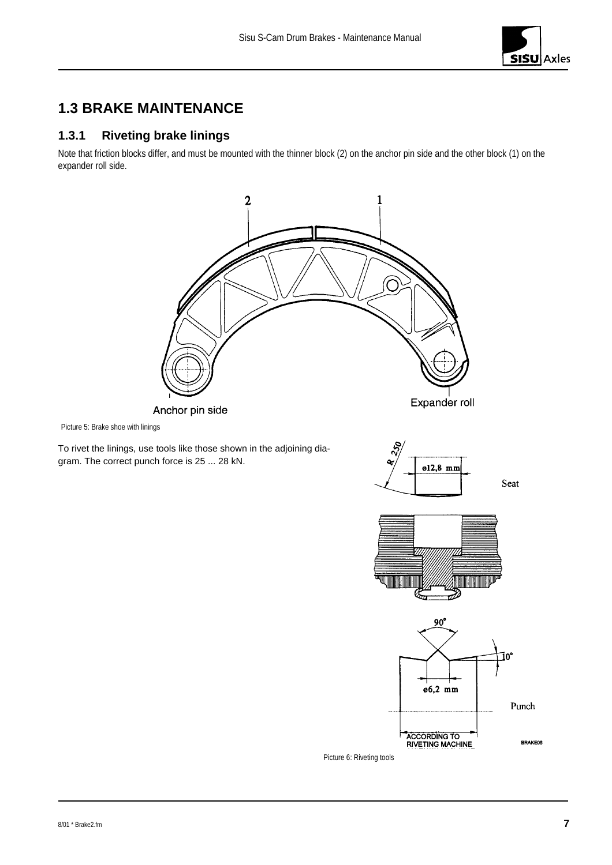

## **1.3 BRAKE MAINTENANCE**

#### **1.3.1 Riveting brake linings**

Note that friction blocks differ, and must be mounted with the thinner block (2) on the anchor pin side and the other block (1) on the expander roll side.



Picture 6: Riveting tools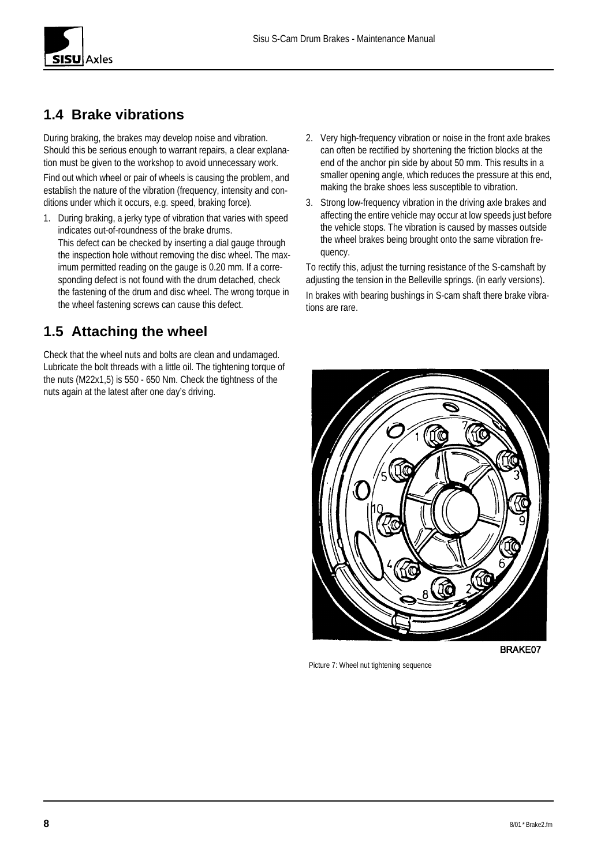

## **1.4 Brake vibrations**

During braking, the brakes may develop noise and vibration. Should this be serious enough to warrant repairs, a clear explanation must be given to the workshop to avoid unnecessary work.

Find out which wheel or pair of wheels is causing the problem, and establish the nature of the vibration (frequency, intensity and conditions under which it occurs, e.g. speed, braking force).

1. During braking, a jerky type of vibration that varies with speed indicates out-of-roundness of the brake drums. This defect can be checked by inserting a dial gauge through the inspection hole without removing the disc wheel. The maximum permitted reading on the gauge is 0.20 mm. If a corresponding defect is not found with the drum detached, check the fastening of the drum and disc wheel. The wrong torque in the wheel fastening screws can cause this defect.

## **1.5 Attaching the wheel**

Check that the wheel nuts and bolts are clean and undamaged. Lubricate the bolt threads with a little oil. The tightening torque of the nuts (M22x1,5) is 550 - 650 Nm. Check the tightness of the nuts again at the latest after one day's driving.

- 2. Very high-frequency vibration or noise in the front axle brakes can often be rectified by shortening the friction blocks at the end of the anchor pin side by about 50 mm. This results in a smaller opening angle, which reduces the pressure at this end, making the brake shoes less susceptible to vibration.
- 3. Strong low-frequency vibration in the driving axle brakes and affecting the entire vehicle may occur at low speeds just before the vehicle stops. The vibration is caused by masses outside the wheel brakes being brought onto the same vibration frequency.

To rectify this, adjust the turning resistance of the S-camshaft by adjusting the tension in the Belleville springs. (in early versions). In brakes with bearing bushings in S-cam shaft there brake vibrations are rare.



Picture 7: Wheel nut tightening sequence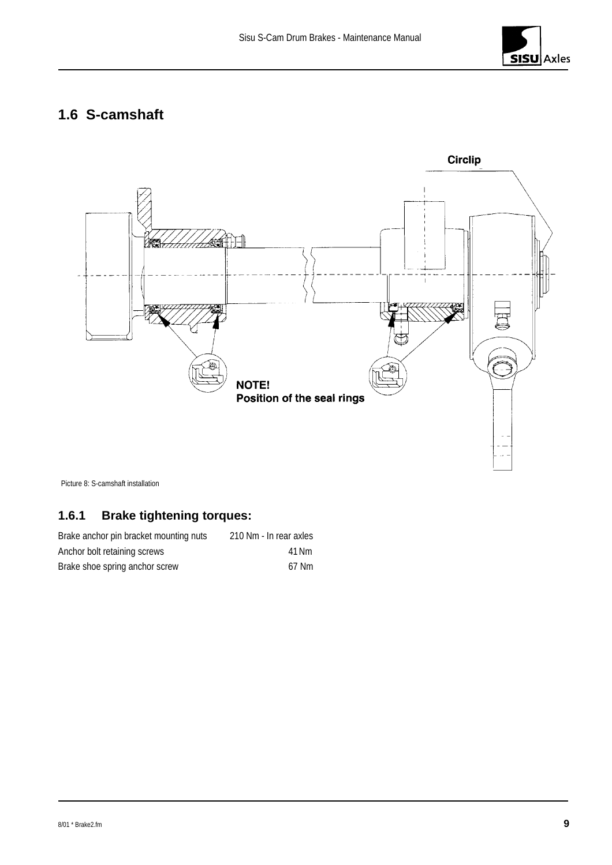

## **1.6 S-camshaft**



Picture 8: S-camshaft installation

## **1.6.1 Brake tightening torques:**

| Brake anchor pin bracket mounting nuts | 210 Nm - In rear axles |
|----------------------------------------|------------------------|
| Anchor bolt retaining screws           | 41 Nm                  |
| Brake shoe spring anchor screw         | 67 Nm                  |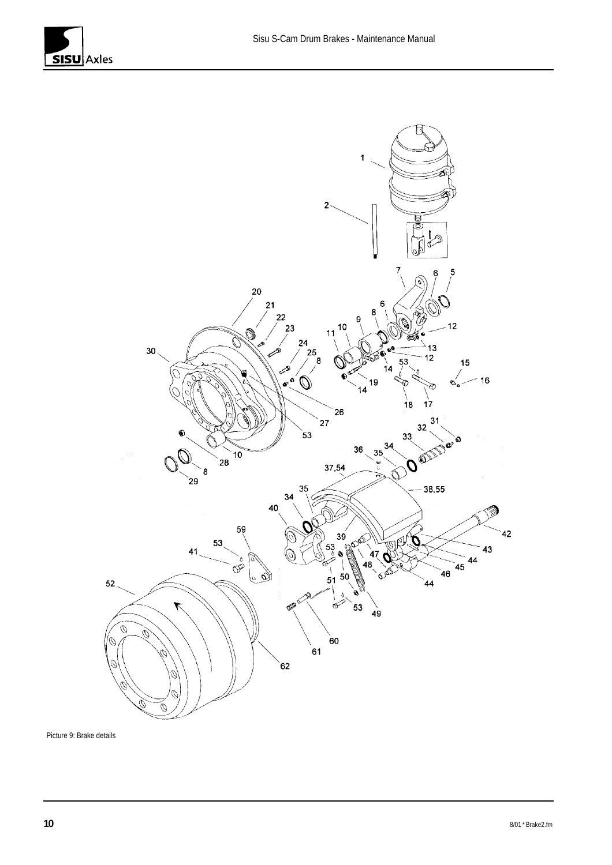



<span id="page-11-0"></span>Picture 9: Brake details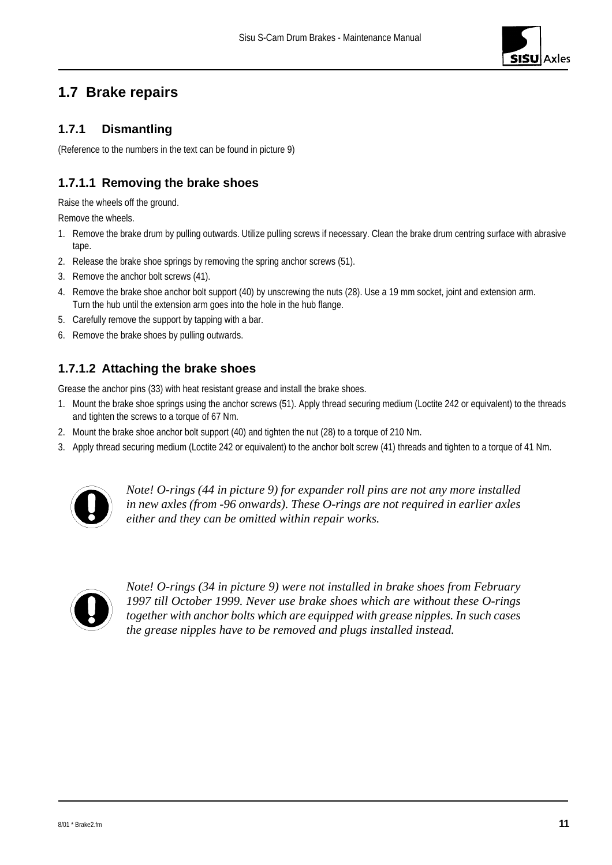

## **1.7 Brake repairs**

#### **1.7.1 Dismantling**

(Reference to the numbers in the text can be found in picture [9\)](#page-11-0)

#### <span id="page-12-0"></span>**1.7.1.1 Removing the brake shoes**

Raise the wheels off the ground.

Remove the wheels.

- 1. Remove the brake drum by pulling outwards. Utilize pulling screws if necessary. Clean the brake drum centring surface with abrasive tape.
- 2. Release the brake shoe springs by removing the spring anchor screws (51).
- 3. Remove the anchor bolt screws (41).
- 4. Remove the brake shoe anchor bolt support (40) by unscrewing the nuts (28). Use a 19 mm socket, joint and extension arm. Turn the hub until the extension arm goes into the hole in the hub flange.
- 5. Carefully remove the support by tapping with a bar.
- 6. Remove the brake shoes by pulling outwards.

#### <span id="page-12-1"></span>**1.7.1.2 Attaching the brake shoes**

Grease the anchor pins (33) with heat resistant grease and install the brake shoes.

- 1. Mount the brake shoe springs using the anchor screws (51). Apply thread securing medium (Loctite 242 or equivalent) to the threads and tighten the screws to a torque of 67 Nm.
- 2. Mount the brake shoe anchor bolt support (40) and tighten the nut (28) to a torque of 210 Nm.
- 3. Apply thread securing medium (Loctite 242 or equivalent) to the anchor bolt screw (41) threads and tighten to a torque of 41 Nm.



*Note! O-rings (44 in picture [9](#page-11-0)) for expander roll pins are not any more installed in new axles (from -96 onwards). These O-rings are not required in earlier axles either and they can be omitted within repair works.* 



*Note! O-rings (34 in picture [9](#page-11-0)) were not installed in brake shoes from February 1997 till October 1999. Never use brake shoes which are without these O-rings together with anchor bolts which are equipped with grease nipples. In such cases the grease nipples have to be removed and plugs installed instead.*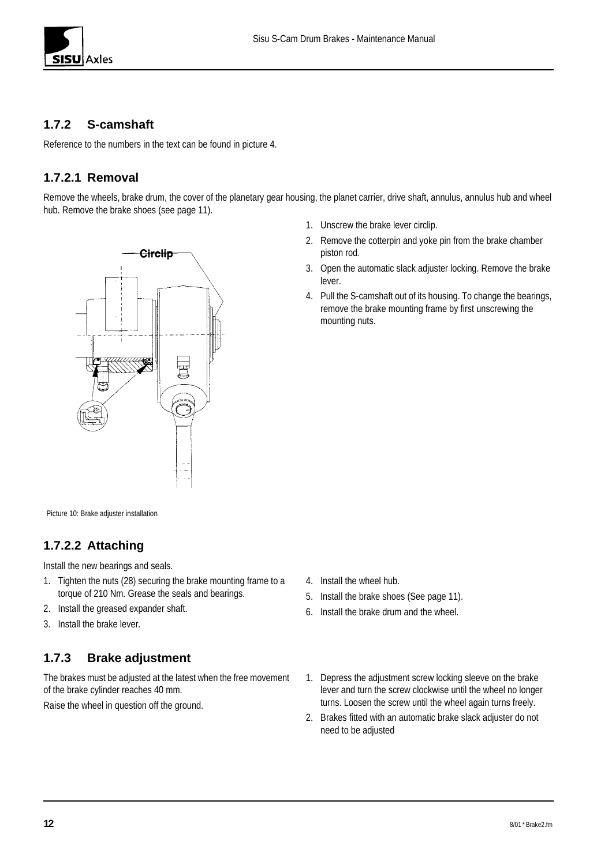

#### **1.7.2 S-camshaft**

Reference to the numbers in the text can be found in picture 4.

#### **1.7.2.1 Removal**

Remove the wheels, brake drum, the cover of the planetary gear housing, the planet carrier, drive shaft, annulus, annulus hub and wheel hub. Remove the brake shoes (see [page 11\)](#page-12-0).



- 1. Unscrew the brake lever circlip.
- 2. Remove the cotterpin and yoke pin from the brake chamber piston rod.
- 3. Open the automatic slack adjuster locking. Remove the brake lever.
- 4. Pull the S-camshaft out of its housing. To change the bearings, remove the brake mounting frame by first unscrewing the mounting nuts.

Picture 10: Brake adjuster installation

#### **1.7.2.2 Attaching**

Install the new bearings and seals.

- 1. Tighten the nuts (28) securing the brake mounting frame to a torque of 210 Nm. Grease the seals and bearings.
- 2. Install the greased expander shaft.
- 3. Install the brake lever.

#### **1.7.3 Brake adjustment**

The brakes must be adjusted at the latest when the free movement of the brake cylinder reaches 40 mm.

Raise the wheel in question off the ground.

- 4. Install the wheel hub.
- 5. Install the brake shoes (See [page 11](#page-12-1)).
- 6. Install the brake drum and the wheel.
- 1. Depress the adjustment screw locking sleeve on the brake lever and turn the screw clockwise until the wheel no longer turns. Loosen the screw until the wheel again turns freely.
- 2. Brakes fitted with an automatic brake slack adjuster do not need to be adjusted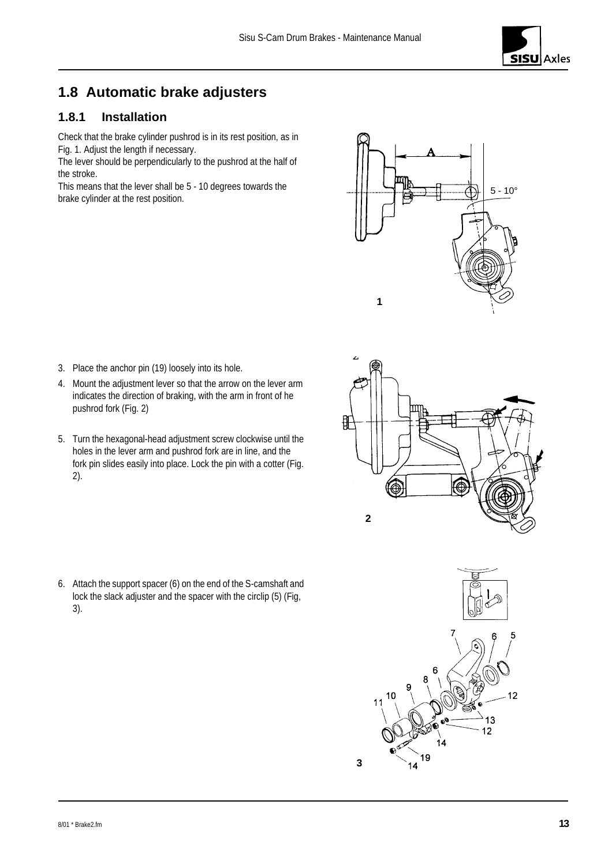

## **1.8 Automatic brake adjusters**

#### **1.8.1 Installation**

Check that the brake cylinder pushrod is in its rest position, as in Fig. 1. Adjust the length if necessary.

The lever should be perpendicularly to the pushrod at the half of the stroke.

This means that the lever shall be 5 - 10 degrees towards the brake cylinder at the rest position.



- 3. Place the anchor pin (19) loosely into its hole.
- 4. Mount the adjustment lever so that the arrow on the lever arm indicates the direction of braking, with the arm in front of he pushrod fork (Fig. 2)
- 5. Turn the hexagonal-head adjustment screw clockwise until the holes in the lever arm and pushrod fork are in line, and the fork pin slides easily into place. Lock the pin with a cotter (Fig. 2).

6. Attach the support spacer (6) on the end of the S-camshaft and lock the slack adjuster and the spacer with the circlip (5) (Fig, 3).



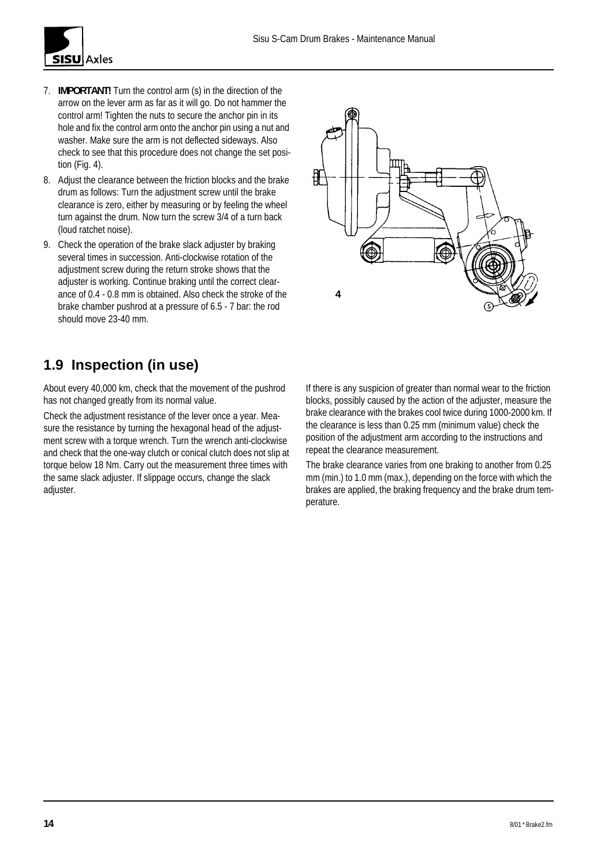

- 7. **IMPORTANT!** Turn the control arm (s) in the direction of the arrow on the lever arm as far as it will go. Do not hammer the control arm! Tighten the nuts to secure the anchor pin in its hole and fix the control arm onto the anchor pin using a nut and washer. Make sure the arm is not deflected sideways. Also check to see that this procedure does not change the set position (Fig. 4).
- 8. Adjust the clearance between the friction blocks and the brake drum as follows: Turn the adjustment screw until the brake clearance is zero, either by measuring or by feeling the wheel turn against the drum. Now turn the screw 3/4 of a turn back (loud ratchet noise).
- 9. Check the operation of the brake slack adjuster by braking several times in succession. Anti-clockwise rotation of the adjustment screw during the return stroke shows that the adjuster is working. Continue braking until the correct clearance of 0.4 - 0.8 mm is obtained. Also check the stroke of the brake chamber pushrod at a pressure of 6.5 - 7 bar: the rod should move 23-40 mm.

## **1.9 Inspection (in use)**

About every 40,000 km, check that the movement of the pushrod has not changed greatly from its normal value.

Check the adjustment resistance of the lever once a year. Measure the resistance by turning the hexagonal head of the adjustment screw with a torque wrench. Turn the wrench anti-clockwise and check that the one-way clutch or conical clutch does not slip at torque below 18 Nm. Carry out the measurement three times with the same slack adjuster. If slippage occurs, change the slack adjuster.



If there is any suspicion of greater than normal wear to the friction blocks, possibly caused by the action of the adjuster, measure the brake clearance with the brakes cool twice during 1000-2000 km. If the clearance is less than 0.25 mm (minimum value) check the position of the adjustment arm according to the instructions and repeat the clearance measurement.

The brake clearance varies from one braking to another from 0.25 mm (min.) to 1.0 mm (max.), depending on the force with which the brakes are applied, the braking frequency and the brake drum temperature.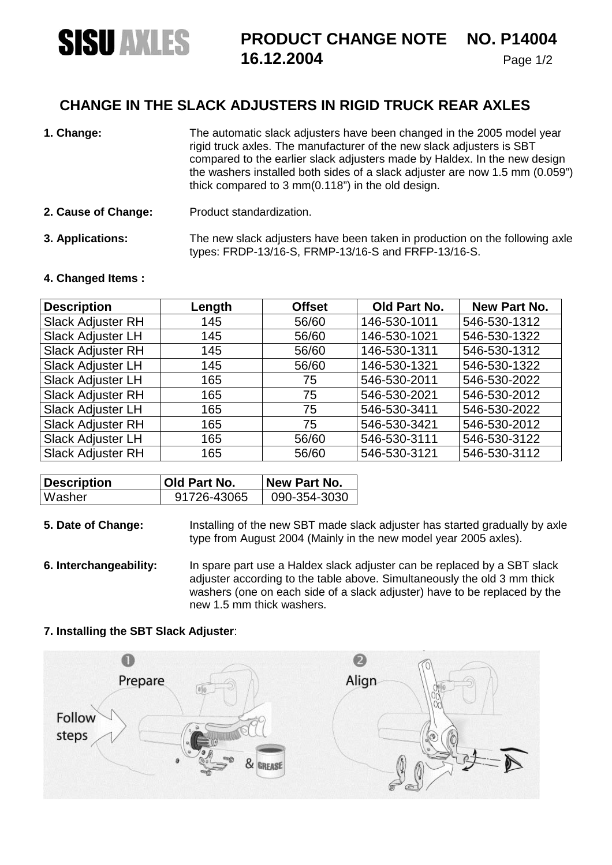

## **PRODUCT CHANGE NOTE NO. P14004 16.12.2004** Page 1/2

## **CHANGE IN THE SLACK ADJUSTERS IN RIGID TRUCK REAR AXLES**

- **1. Change:** The automatic slack adjusters have been changed in the 2005 model year rigid truck axles. The manufacturer of the new slack adjusters is SBT compared to the earlier slack adjusters made by Haldex. In the new design the washers installed both sides of a slack adjuster are now 1.5 mm (0.059") thick compared to 3 mm(0.118") in the old design.
- **2. Cause of Change:** Product standardization.
- **3. Applications:** The new slack adjusters have been taken in production on the following axle types: FRDP-13/16-S, FRMP-13/16-S and FRFP-13/16-S.

#### **4. Changed Items :**

| <b>Description</b>       | Length | <b>Offset</b> | Old Part No. | New Part No. |
|--------------------------|--------|---------------|--------------|--------------|
| <b>Slack Adjuster RH</b> | 145    | 56/60         | 146-530-1011 | 546-530-1312 |
| <b>Slack Adjuster LH</b> | 145    | 56/60         | 146-530-1021 | 546-530-1322 |
| <b>Slack Adjuster RH</b> | 145    | 56/60         | 146-530-1311 | 546-530-1312 |
| <b>Slack Adjuster LH</b> | 145    | 56/60         | 146-530-1321 | 546-530-1322 |
| Slack Adjuster LH        | 165    | 75            | 546-530-2011 | 546-530-2022 |
| Slack Adjuster RH        | 165    | 75            | 546-530-2021 | 546-530-2012 |
| <b>Slack Adjuster LH</b> | 165    | 75            | 546-530-3411 | 546-530-2022 |
| <b>Slack Adjuster RH</b> | 165    | 75            | 546-530-3421 | 546-530-2012 |
| <b>Slack Adjuster LH</b> | 165    | 56/60         | 546-530-3111 | 546-530-3122 |
| <b>Slack Adjuster RH</b> | 165    | 56/60         | 546-530-3121 | 546-530-3112 |

| <b>Description</b> | <b>Old Part No.</b> | New Part No. |
|--------------------|---------------------|--------------|
| l Washer           | 91726-43065         | 090-354-3030 |

- **5. Date of Change:** Installing of the new SBT made slack adjuster has started gradually by axle type from August 2004 (Mainly in the new model year 2005 axles).
- **6. Interchangeability:** In spare part use a Haldex slack adjuster can be replaced by a SBT slack adjuster according to the table above. Simultaneously the old 3 mm thick washers (one on each side of a slack adjuster) have to be replaced by the new 1.5 mm thick washers.



#### **7. Installing the SBT Slack Adjuster**: